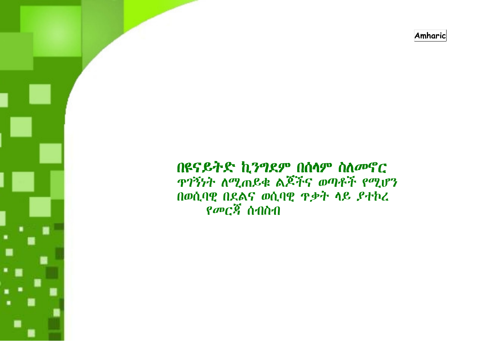Amharic

# በዩናይትድ ኪንግደም በሰላም ስለመኖር **ዋገኝነት ለሚጠይቁ ልጆችና ወጣቶች የሚሆን** በወሲባዊ በደልና ወሲባዊ ዋቃት ላይ ያተኮረ  $\rho$ መርጃ ሰብስብ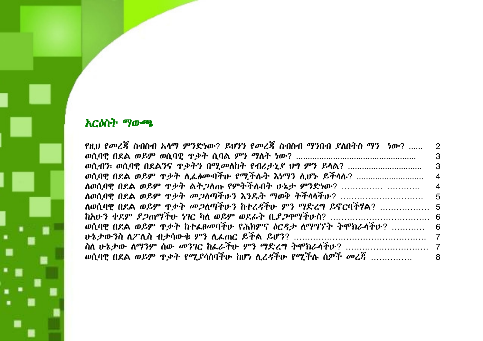# አርዕስት ማውጫ

٠

| የዚህ የመረጃ ስብስብ አላማ ምንድነው? ይህንን የመረጃ ስብስብ ማንበብ ያለበትስ ማን ነው?  2               |                |
|----------------------------------------------------------------------------|----------------|
|                                                                            | - 3            |
| ወሲብን፡ ወሲባዊ በደልንና ዋቃትን በሚመለከት የብሪታኒያ ህግ ምን ይላል?                             | - 3            |
| ወሲባዊ በደል ወይም ዋቃት ሲፌፅሙባችሁ የሚችሉት እነማን ሲሆኑ ይችሳሉ?                              | $\overline{4}$ |
| ለወሲባዊ በደል ወይም ዋቃት ልት <i>ጋ</i> ለጡ የምትችሉበት ሁኔታ ምንድነው?                        | 4              |
| ለወሲባዊ በደል ወይም ዋቃት መ <i>ጋ</i> ለጣችሁን እንዴት ማወቅ ትችላላችሁ?                        | 5              |
| ለወሲባዊ በደል ወይም ዋቃት መ <i>ጋ</i> ለጣችሁን ከተረዳችሁ ምን ማድረግ ይኖርባችሃል?  5              |                |
|                                                                            |                |
| ወሲባዊ በደል ወይም ዋቃት ከተፌፀመባችሁ የሕክምና <i>ዕርዳታ ለማግኘት ት</i> ሞክራላችሁ?  6             |                |
|                                                                            |                |
|                                                                            |                |
| ወሲባዊ በደል ወይም ዋ <i>ቃት የሚያሳ</i> ስባችሁ ከሆነ ሊረ <i>ዳ</i> ችሁ የሚችሉ ሰዎች <i>መረ</i> ጃ | - 8            |
|                                                                            |                |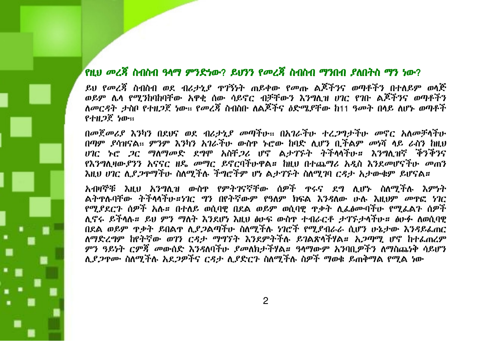## የዚህ መረጃ ስብስብ ዓላማ ምንድነው? ይህንን የመረጃ ስብስብ ማንበብ ያለበትስ ማን ነው?

ይህ የመረጃ ስብስብ ወደ ብሪታኒያ ዋገኝነት ጠይቀው የመጡ ልጆችንና ወጣቶችን በተለይም ወሳጅ ወይም ሌላ የሚንከባከባቸው አዋቂ ሰው ሳይኖር ብቻቸውን እንግሊዝ ሀገር የገቡ ልጆችንና ወጣቶችን ለመርዳት ታስቦ የተዘጋጀ ነው። የመረጃ ስብስቡ ለልጆችና ዕድሜደቸው ከ11 ዓመት በላይ ለሆኑ ወጣቶች የተዘ*ጋ*ጀ ነው።

በመጀመሪያ እንካን በደህና ወደ ብሪታኒያ መጣችሁ። በአገራችሁ ተረጋግታችሁ መኖር አለመቻላችሁ በጣም ደሳዝናል። ምንም እንካን አገራችሁ ውስዋ ኑሮው ከባድ ሊሆን ቢችልም መነሻ ላይ ራስን ከዚህ *ህገር ኑሮ ጋር ማ*ለማ*መ*ድ ደግሞ አስቸ*ጋ*ሪ ሆኖ ልታገኙት ትችላላችሁ**። እን**ግሊዝኛ ችንችንና የእንግሊዛውያንን አናናር ዘዴ መማር ይኖርባችሁዋል። ከዚህ በተጨማሪ አዲስ እንደመሆናችሁ መጠን እዚህ ሀገር ሊያ*ጋ*ዮማችሁ ስለሚችሉ ችግሮችም ሆነ ልታገኙት ስለሚገባ ር*ዳ*ታ አታውቁም ይሆናል።

አብዛኞቹ እዚህ አንግሊዝ ውስዋ የምትገናኛቸው ሰዎች ዋሩና ደግ ሊሆኑ ስለሚችሉ እምነት ልትዋሉባቸው ትችሳሳችሁ።ነገር ግን በየትኛውም የዓለም ክፍል እንዳለው ሁሉ እዚህም መዋፎ ነገር የሚያደርጉ ሰዎች አሉ። በተለይ ወሲባዊ በደል ወይም ወሲባዊ ዋቃት ሊፌፅሙባችሁ የሚፌልጉ ሰዎች ሊኖሩ ይችላሉ። ይህ ምን ማለት እንደሆነ እዚህ ፅሁፍ ውስዋ ተብራርቶ ታገኙታሳችሁ። ፅሁፉ ለወሲባዊ በደል ወይም ዋቃት ይበልዋ ሊደ*ጋ*ልጣችሁ ስለሚችሉ ነገሮች የሚደብራራ ሲሆን ሁኔታው እንዳይፌጠር ለማድረግም ከየትኛው ወገን ርዳታ ማግኘት እንደምትችሉ ይገልጽላችሃል። አ*ጋ*ጣሚ ሆኖ ከተፌጠሪም ምን ዓይነት ርምጃ መውሰድ እንዳለባችሁ ያመለክታችሃል። ዓላማውም አንባቢዎችን ለማስጨነቅ ሳይሆን ሊደ*ጋ*ዋሙ ስለሚችሉ አደ*ጋዎችና ርዳታ ሊያድርጉ ስ*ለሚችሉ ስዎች ማወቁ ይጠቅማል የሚል ነው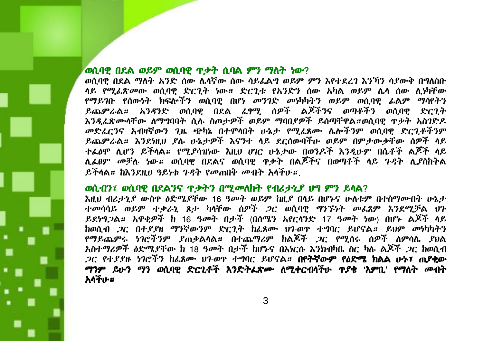#### ወሲባዊ በደል ወይም ወሲባዊ ዋቃት ሲባል ምን ማለት ነው?

ወሲባዊ በደል ማለት አንድ ሰው ሌላኛው ሰው ሳይፌልግ ወይም ምን እየተደረገ እንኻን ሳያውቅ በግለስቡ ላይ የሚፈጽመው ወሲባዊ ድርጊት ነው። ድርጊቱ የአንድን ሰው አካል ወይም ሌላ ሰው ሲነካቸው የማይገቡ የሰውነት ክፍሎችን ወሲባዊ በሆነ መንገድ መነካካትን ወይም ወሲባዊ ፊልም ማሳየትን ይጨምራል። አንዳንድ ወሲባዊ በደል ሬፃሚ ሰዎች ልጆችንና ወጣቶችን ወሲባዊ ድርጊት እንዲፌጽሙላቸው ለማግባባት ሲሉ ስጦታዎች ወይም ማባቢያዎች ይሰጣቸዋል።ወሲባዊ ዋቃት አስገድዶ መድሬሮንና አብዛኛውን ጊዜ ጭካኔ በተሞላበት ሁኔታ የሚፌጸሙ ሌሎችንም ወሲባዊ ድርጊቶችንም ይጨምራል። እንደነዚሀ ደሉ ሁኔታዎች እናንተ ላይ ደርሰውባችሁ ወይም በምታውቃቸው ሰዎች ላይ ተፌፅሞ ሲሆን ይችላል። የሚደሳዝነው እዚህ ሀገር ሁኔታው በወንዶች እንዲሁም በሴቶች ልጆች ላይ ሊፌፀም *መቻ*ሉ ነው*። ወ*ሲባዊ በደልና ወሲባዊ ዋቃት በልጆችና በወጣቶች ላይ ጉዳት ሊያስከትል ይችላል። ከእንደዚሀ ዓይነቱ ጉዳት የመጠበቅ መብት አሳችኩ።

#### ወሲብን፣ ወሲባዊ በደልንና ዋቃትን በሚመለከት የብሪታኒያ ህግ ምን ይላል?

እዚህ ብራታኒያ ውስዋ ዕድሜደቸው 16 ዓመት ወይም ከዚያ በላይ በሆኑና ሁለቱም በተስማሙበት ሁኔታ ተመሳሳይ ወይም ተቃራኒ ጸታ ካላቸው ሰዎች ጋር ወሲባዊ ግንኙነት መፌጸም እንደሚቻል ሀን ይደነግጋል። አዋቂዎች ከ 16 ዓመት በታች (በሰሜን አየርሳንድ 17 ዓመት ነው) በሆኑ ልጆች ላይ ከወሲብ *ጋ*ር በተደያዘ ማንኛውንም ድርጊት ከፌጸሙ ህገ-ወዋ ተግባር ይሆናል። ይህም መነካካትን የማይጨምሩ ነገሮችንም ያጠቃልሳል። በተጨማሪም ከልጆች *ጋ*ር የሚሰሩ ሰዎች ለምሳሌ ያህል አስተማሪዎች ዕድሜያቸው ከ 18 ዓመት በታች ከሆኑና በእነርሱ እንክብካቤ ስር ካሉ ልጆች *ጋ*ር ከወሲብ *ጋ*ር የተ*ደያ*ዙ ነገሮችን ከፊጸሙ ህገ-ወዋ ተግባር ይሆናል፡፡ **በየትኛውም የዕድሜ ክልል ሁኑ፣ ጠያቂው** ማንም ይሁን ማን ወሲባዊ ድርጊቶች እንድትፌጽሙ ለሚቀርብሳችሁ ዋያቄ 'እምቢ' የማለት መብት አላችኩ#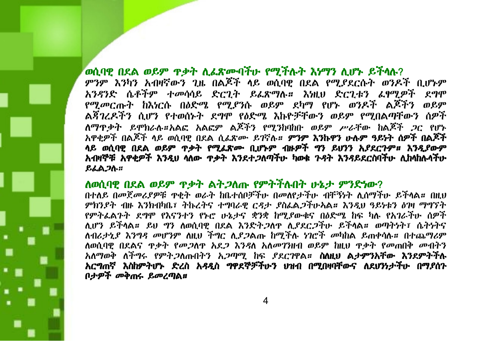## ወሲባዊ በደል ወይም ዋቃት ሲፌጽሙባችሁ የሚችሉት እሃማን ሲሆኑ ይችላሉ?

ምንም እንካን አብዛኛውን ጊዜ በልጆች ላይ ወሲባዊ በደል የሚያደርሱት ወንዶች ቢሆኑም አንዳንድ ሴቶችም ተመሳሳይ ድርጊት ይሬጽማሉ። እነዚህ ድርጊቱን ሬፃሚዎች ደግሞ የሚመርጡት ከእነርሱ በዕድሜ የሚያንሱ ወይም ደካማ የሆኑ ወንዶች ልጆችን ወይም ልጃገረዶችን ሲሆን የተወሰኑት ደግሞ የዕድሜ እኩዮቻቸውን ወይም የሚበልጣቸውን ሰዎች ለማዋቃት ይሞክራሉ።አልፎ አልፎም ልጆችን የሚንከባከቡ ወይም ሥራቸው ከልጆች *ጋ*ር የሆኑ አዋቂዎች በልጆች ላይ ወሲባዊ በደል ሲፈጽሙ ይገኛሉ። **ምንም እንኩዋን ሁሉም ዓይነት ሰዎች በልጆች** ላይ ወሲባዊ በደል ወይም ጥቃት የሚፌጽሙ ቢሆኑም ብዙዎች ግን ይህንን አያደርጉም። እንዲያውም አብዛኞቹ አዋቂዎች እንዲህ ሳለው ዋቃት እንደተ*ጋ*ለጣችሁ ካወቁ *ጉዳ*ት እንዳይደርስባችሁ ሊከሳከሉሳችሁ ይፈልጋሉ።

#### ለወሲባዊ በደል ወይም ዋቃት ልት*ጋ*ለጡ የምትችሉበት ሁኔታ ምንድነው?

በተለይ በመጀመሪያዎቹ ዋቂት ወራት ከቤተሰቦቻችሁ በመለየታችሁ ብቸኝነት ሊሰማችሁ ይችላል። በዚህ ምክንያት ብዙ እንክብካቤ፣ ትኩረትና ተግባራዊ ርዳታ ያስፌልጋችሁአል። እንዲህ ዓይነቱን ዕገዛ ማግኘት የምትፌልጉት ደግሞ የእናንተን የኑሮ ሁኔታና ቋንቋ ከሚያውቁና በዕድሜ ከፍ ካሉ የአገራችሁ ሰዎች ሊሆን ይችላል። ይህ ግን ለወሲባዊ በደል እንድት*ጋ*ለዋ ሊያደር*ጋች*ሁ ይችላል። ወጣትነት፣ ሴትነትና ለብሪታኒያ እንግዳ መሆንም ለዚህ ችግር ሊደጋልጡ ከሚችሉ ነገሮች መካከል ይጠቀሳሉ። በተጨማሪም ለወሲባዊ በደልና ዋቃት የመጋለዋ አደጋ እንዳለ አለመገንዘብ ወይም ከዚህ ዋቃት የመጠበቅ መብትን አለማወቅ ለችግሩ የምት.2ስጡበትን አ.2ጣሚ ከፍ ያደርገዋል። ስስዚህ ልታምንአቸው እንደምትችሉ አርግጠኛ እስከምትሆኑ ድረስ አዳዲስ ግዋደኞቻችሁን ሀዝብ በሚበዛባቸውና ለደሆንነታችሁ በማያሰጉ በታዎች መቅጠሩ ይመረጣል።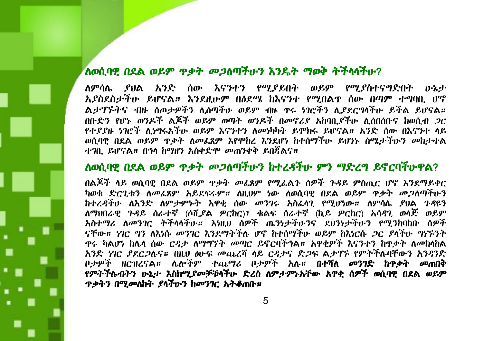## ለወሲባዊ በደል ወይም ጥቃት መጋለጣችሁን እንዴት ማወቅ ትችላሳችሁ?

ለምሳሌ ያህል አንድ ሰው እናንተን የሚያይበት ወይም የሚያስተናግድበት ሁኔታ አደስደስታችሁ ይሆናል። እንደዚሁም በዕደሜ ከእናንተ የሚበልዋ ሰው በጣም ተግባቢ ሆኖ ልታገኙትና ብዙ ሰጦታዎችን ሊሰጣችሁ ወይም ብዙ ዋሩ ነገሮችን ሊያደርግሳችሁ ይችል ይሆናል። በቡድን የሆኑ ወንዶች ልጆች ወይም ወጣት ወንዶች በመኖሪያ አከባቢያችሁ ሊሰበሰቡና ከወሲብ *ጋ*ር የተደደዙ ነገሮች ሊነግሩአችሁ ወይም እናንተን ለመነካካት ይሞክሩ ይሆናል። አንድ ሰው በእናንተ ላይ ወሲባዊ በደል ወይም ዋቃት ለመፌጸም እየሞከረ እንደሆነ ከተሰማችሁ ይህንኑ ስሜታችሁን መከታተል ተገቢ ይሆናል። በኅላ ከማዘን አስቀድሞ መጠንቀቅ ይበጀልና።

# ለወሲባዊ በደል ወይም ዋቃት መጋለጣችሁን ከተረዳችሁ ምን ማድረግ ይኖርባችሁዋል?

በልጆች ላይ ወሲባዊ በደል ወይም ዋቃት መፌጸም የሚፌልጉ ሰዎች ጉዳይ ምስጢር ሆኖ እንደማይቀር ካወቁ ድርጊቱን ለመፌጸም አይደፍሩም። ለዚህም ነው ለወሲባዊ በደል ወይም ዋቃት መጋለጣችሁን ከተረዳችሁ ለአንድ ለምታምኑት አዋቂ ሰው መንገሩ አስፌሳጊ የሚሆነው። ለምሳሌ ያህል ጉዳዩን ለማህበራዊ ጉዳይ ሰራተኛ (ሶሺያል ዎርከር)፣ ቁልፍ ሰራተኛ (ኪይ ዎርከር) አሳዳጊ ወሳጅ ወይም አስተማሪ ለመንገር ትችላላችሁ። እነዚህ ሰዎች ጤንነታችሁንና ደሀንነታችሁን የሚንከባከቡ ሰዎች ናቸው። ነገር ግን ለእነሱ መንገር እንደማትችሉ ሆኖ ከተሰማችሁ ወይም ከእነርሱ *ጋ*ር ደላችሁ *ግኑኙንት* ዋሩ ካልሆነ ከሌላ ሰው *ርዳታ ለማግኘት መጣር ይ*ኖርባችኀል። አዋቂዎች እናንተን ከዋቃት ለመከላከል አንድ ነገር ያደርጋሉና። በዚህ ፅሁፍ መጨረሻ ላይ ርዳታና ድጋፍ ልታገኙ የምትችሉባቸውን አንዳንድ ቦታዎች ዘርዝረናል**። ሌ**ሎችም ተጨማሪ ቦታዎች አሉ**። በተሻለ መንገድ ከዋቃት መ**ጠበቅ የምትችሉብትን ሁኔታ እስክሚያመቻቹሳችሁ ድረስ ለምታምኑአቸው አዋቂ ሰዎች ወሲባዊ በደል ወይም <u> ዋቃትን በሚመለከት ያሳችሁን ከመንገር አትቆጠቡ።</u>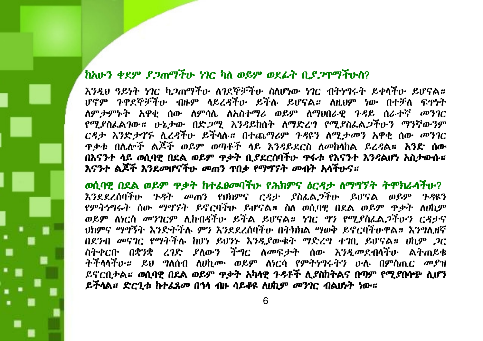# ከአሁን ቀደም ደጋጠማችሁ ነገር ካለ ወይም ወደፊት ቢደጋጥማችሁስ?

እንዲህ ዓይነት ነገር ካጋጠማችሁ ለገደኞቻችሁ ስለሆነው ነገር ብትነግሩት ይቀሳችሁ ይሆናል። ሆኖም ጉዋደኞቻችሁ ብዙም ሳይረዳችሁ ይችሉ ይሆናል። ለዚህም ነው በተቻለ ፍዋነት ለምታምኑት አዋቂ ሰው ለምሳሌ ለአስተማሪ ወይም ለማህበራዊ ጉዳይ ሰራተኛ መንገር የሚያስፌልገው። ሁኔታው በድጋሚ እንዳይከሰት ለማድረግ የሚያስፌልጋችሁን ማንኛውንም ርዳታ እንድታገኙ ሊረዳችሁ ይችላሉ። በተጨማሪም ጉዳዩን ለሚታመን አዋቂ ሰው መንገር <u>ዋቃቱ በሌሎች ልጆች ወይም ወጣቶች ላይ እንዳይደርስ ለመከላከል ይረዳል። **አንድ ሰው**</u> በእናንተ ላይ ወሲባዊ በደል ወይም ዋቃት ቢያደርስባችሁ ዋፋቱ የእናንተ እንዳልሆነ አስታውሱ። እናንተ ልጆች እንደመሆናችሁ መጠን ዋቢቃ የማግኘት መብት አሳችሁና።

ወሲባዊ በደል ወይም ዋቃት ከተፌፀመባችሁ የሕክምና ዕርዳታ ለማግኘት ትሞክራሳችሁ? እንደደረሰባችሁ ጉዳት መጠን የህክምና ርዳታ ያስፌል*ጋ*ችሁ ይሆናል ወይም ጉዳዩን የምትነግሩት ሰው ማግኘት ይኖርባችሁ ይሆናል። ስለ ወሲባዊ በደል ወይም ዋቃት ለሀኪም ወይም ለነርስ መንገርም ሲከብዳችሁ ይችል ይሆናል። ነገር ግን የሚያስፌል*ጋ*ችሁን ርዳታና ህክምና ማግኝት እንድትችሉ ምን እንደደረሰባችሁ በትክክል ማወቅ ይኖርባችሁዋል። እንግሊዘኛ በደንብ መናገር የማትችሉ ከሆነ ይህንኑ እንዲያውቁት ማድረግ ተገቢ ይሆናል። ሀኪም *ጋ*ር ስትቀርቡ በቋንቋ ረገድ ያለውን ችግር ለመፍታት ሰው እንዲመደብሳችሁ ልትጠይቁ ትችላላችሁ። ይህ ግለሰብ ለሀኪሙ ወይም ለነርሳ የምትነግሩትን ሁሉ በምስጢ*ር መ*ያዝ ይኖርበታል። ወሲባዊ በደል ወይም ዋቃት አካላዊ ጉዳቶች ሊያስከትልና በጣም የሚያበሳጭ ሲሆን ይችላል*፡፡ ድርጊቱ ከተፌጸመ በጎ*ላ ብዙ ሳይቆዩ ለ*ሀኪም መንገር ብ*ልህ*ነት ነ*ው*፡፡*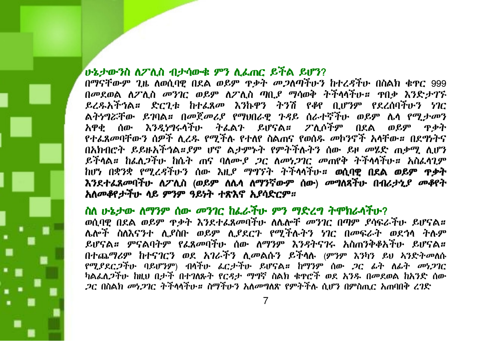# ሁኔታውንስ ለፖሊስ ብታሳውቁ ምን ሊፌጠር ይችል ይሆን?

በማናቸውም ጊዜ ለወሲባዊ በደል ወይም ዋቃት *መጋ*ለጣቸሁን ከተረ*ዳ*ቸሁ በስልክ ቁዋር 999 በመደወል ለፖሊስ መንገር ወይም ለፖሊስ ጣቢያ ማሳወቅ ትችላላችሁ። ዋበቃ እንድታገኙ ይረዱአችኅል። ድርጊቱ ከተፌጸመ እንኩዋን ትንሽ የቆየ ቢሆንም የደረሰባችሁን ነገር ልትነግሯቸው ይገባል። በመጀመሪያ የማህበራዊ ጉዳይ ሰራተኛችሁ ወይም ሴሳ የሚታመን አዋቂ ሰው እንዲነግሩሳችሁ ትፌልጉ ይሆናል። ፖሊሶችም በደል ወይም ዋቃት የተፌጸመባቸውን ሰዎች ሲረዱ የሚችሉ የተለየ ስልጠና የወሰዱ መኮንኖች አላቸው። በደግነትና በአክብሮት ይይዙአችኅል።ያም ሆኖ ልታምኑት የምትችሉትን ሰው ይዞ መሄድ ጠቃሚ ሲሆን ይችላል። ከፌለ*ጋች*ሁ ከሴት ጠና ባለሙ*ያ ጋ*ር ለመነ*ጋገ*ር መጠየቅ ትችላላችሁ። አስፌላጊም ከሆነ በቋንቋ የሚረዳችሁን ሰው እዚ*ያ ማግኘት ትች*ሳሳችሁ**። ወሲባዊ በደል ወይም ዋቃት** እንደተፊጸመባችሁ ስፖሲስ (ወይም ስሴሳ ስማንኛውም ሰው) መግለጻችሁ በብሪታኒያ መቆየት አለመቆየታችሁ ላይ ምንም ዓይነት ተጽእኖ ኢየሳድርም።

### ስለ ሁኔታው ለማንም ሰው መንገር ከፌራችሁ ምን ማድረግ ትሞክራሳችሁ?

ወሲባዊ በደል ወይም ዋቃት እንደተፈጸመባችሁ ለሴሎቸ መንገር በጣም ያሳፍራችሁ ይሆናል። ሌሎች ስለእናንተ ሊያስቡ ወይም ሊያደርጉ የሚችሉትን ነገር በመፍራት ወደኅላ ትሉም ይሆናል። ምናልባትም የፌጸመባችሁ ሰው ለማንም እንዳትናገሩ አስጠንቅቆአችሁ ይሆናል። በተጨማሪም ከተናገርን ወደ አገራችን ሲመልሱን ይችሳሉ (ምንም እንካን ይህ አንድትመለሱ የሚያደርጋችሁ ባይሆንም) ብሳችሁ ፌርታችሁ ይሆናል። ከማንም ሰው ጋር ፊት ለፊት መነጋገር ካልፌሊጋችሁ ከዚህ በታች በተገለጹት የርዳታ ማግኛ ስልክ ቁዋሮች ወደ አንዱ በመደወል ከአንድ ሰው *ጋ*ር በስልክ *መነጋገ*ር ትችላላችሁ*። ስግች*ሁን አለመግለጽ የምትችሉ ሲሆን በምስጢር አጠባበቅ ረገድ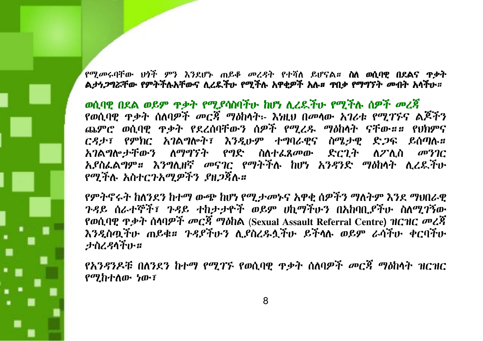የሚመሩባቸው ህጎች ምን እንደሆኑ ጠይቆ መረዳት የተሻለ ይሆናል፡፡ **ስለ ወሲባዊ በደልና ዋቃት** ልታነ*ጋግሯ*ቸው የምትችሉአቸውና ሊረዴችሁ የሚችሉ አዋቂዎች አሉ። ጥበቃ የማግኘት መብት አሳችሁ።

ወሲባዊ በደል ወይም ጥቃት የሚያሳስባችሁ ከሆነ ሲረዴችሁ የሚችሉ ሰዎች መረጃ የወሲባዊ ጥቃት ሰለባዎች መርጃ ማዕከላት፡- እነዚህ በመላው አገሪቱ የሚገኙና ልጆችን ጨምሮ ወሲባዊ ዋቃት የደረሰባቸውን ሰዎች የሚረዱ ማዕከላት ናቸው።። የህክምና ርዳታ፣ የምክር አገልግሎት፣ እንዲሁም ተግባራዊና ስሜታዊ ድጋፍ ይሰጣሉ። *አገ*ልግሎ*ታቸውን ለማግኘት የግድ ስ*ለተ*ፌጸመ*ው ድርጊት ለፖሊስ መንገር አያስፌልግም። እንግሊዘኛ መናገር የማትችሉ ከሆነ አንዳንድ ማዕከላት ሊረዴችሁ የማችሉ አስተርንአማዎችን ያዘጋጀሉ።

የምትኖሩት ከለንደን ከተማ ውጭ ከሆነ የሚታመኑና አዋቂ ሰዎችን ማለትም እንደ ማህበራዊ ጉዳይ ሰራተኞች፣ ጉዳይ ተከታታዮች ወይም ሀኪማችሁን በአከባቢያችሁ ስለሚገኝው የወሲባዊ ጥቃት ሰሳባዎች መርጃ ማዕከል (Sexual Assault Referral Centre) ዝርዝር መረጃ እንዲስጧችሁ ጠይቁ። ጉዳያችሁን ሲያስረዱሏችሁ ይችላሉ ወይም ራሳችሁ ቀርባችሁ **ታስረዳሳች**ሁ።

*የአንዳንዶቹ በለንደን ከተማ የሚገኙ የ*ወሲባዊ ጥቃት ሰለባዎች *መርጃ ማዕከ*ላት ዝርዝር የሚከተለው ነው፣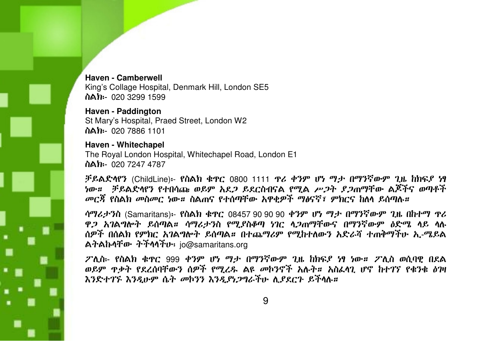Haven - Camberwell King's Collage Hospital, Denmark Hill, London SE5 ስልክ፡- 020 3299 1599

Haven - Paddington St Mary's Hospital, Praed Street, London W2 ስልክ፡- 020 7886 1101

Haven - Whitechapel The Royal London Hospital, Whitechapel Road, London E1 ስልክ፡- 020 7247 4787

ቻይልድላየን (ChildLine)፡- የስልክ ቁዋር 0800 1111 ዋሪ ቀንም ሆነ ማታ በማንኛውም ጊዜ ከክፍያ ነፃ *ነ*ው*፡፡ ቻይ*ልድላየን የተበሳጩ *ወይም አደጋ ይ*ደርስብናል የሚል *ሥጋት ያጋ*ጠማቸው ልጆችና ወጣቶች *መርኽ የስ*ልክ መስመር ነው*።* ስልጠና የተሰጣቸው አዋቂዎች ማፅናኛ፣ ምክርና ከለላ ይሰጣሉ*።* 

ሳማሪታንስ (Samaritans)፡- የስልክ ቁጥር 08457 90 90 90 ቀንም ሆነ ማታ በማንኛውም ጊዜ በከተማ ጥሪ ዋ*ጋ አገ*ልግሎት ይሰጣል። ሳማሪታንስ የሚያስቆጣ ነገር ላ*ጋ*ጠማቸውና በማንኛውም *እ*ድሜ ላይ ላሉ ሰዎች በሰልክ የምክር አገልግሎት ይሰጣል። በተጨማሪም የሚከተለውን አድራሻ ተጠቅማችሁ ኢ-ሜይል ልትልኩላቸው ትችላላችሁ፡ io@samaritans.org

ፖሊስ፡- የስልክ ቁዋር 999 ቀንም ሆነ ማታ በማንኛውም ጊዜ ከክፍያ ነፃ ነው። ፖሊስ ወሲባዊ በደል ወይም ዋቃት የደረሰባቸውን ሰዎች የሚረዱ ልዩ መኮንኖች አሉት። አስፌሳጊ ሆኖ ከተገኘ የቁንቁ ዕዝ እንድተገኙ እንዲሁም ሴት መኮንን እንዲያነጋግራችሁ ሲያደርጉ ይችላሉ።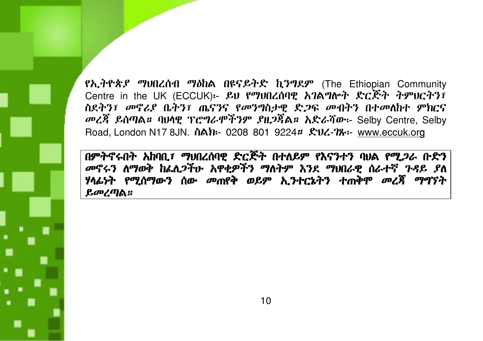የኢትዮጵያ ማህበረሰብ ማዕከል በዩናይትድ ኪንግደም (The Ethiopian Community Centre in the UK (ECCUK):- ይህ የማህበረሰባዊ አገልግሎት ድርጅት ትምህርትን፣ ስደትን፣ መኖሪያ ቤትን፣ ጤናንና የመንግስታዊ ድጋፍ መብትን በተመለከተ ምክርና መረጃ ይሰጣል። ባህሳዊ ፕሮግራሞችንም ያዘጋጃል። አድራሻው፡- Selby Centre, Selby Road, London N17 8JN. Noh- 0208 801 9224# £V4-78:- www.eccuk.org

በምትኖሩበት አከባቢ፣ ማህበረሰባዊ ድርጅት በተለይም የእናንተን ባህል የሚጋራ ቡድን መኖሩን ለማወቅ ከፌሊጋችሁ አዋቂዎችን ማለትም እንደ ማህበራዊ ሰራተኛ ጉዳይ ያለ ሃላፊነት የሚሰማውን ሰው መጠየቅ ወይም ኢንተርኔትን ተጠቅሞ መረጃ ማግኘት ይመረጣል።